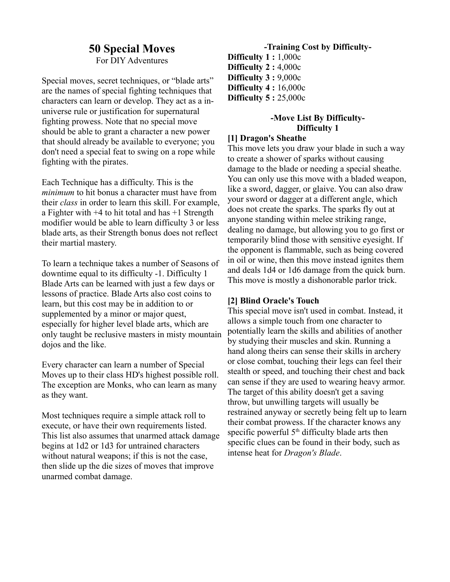# **50 Special Moves**

For DIY Adventures

Special moves, secret techniques, or "blade arts" are the names of special fighting techniques that characters can learn or develop. They act as a inuniverse rule or justification for supernatural fighting prowess. Note that no special move should be able to grant a character a new power that should already be available to everyone; you don't need a special feat to swing on a rope while fighting with the pirates.

Each Technique has a difficulty. This is the *minimum* to hit bonus a character must have from their *class* in order to learn this skill. For example, a Fighter with +4 to hit total and has +1 Strength modifier would be able to learn difficulty 3 or less blade arts, as their Strength bonus does not reflect their martial mastery.

To learn a technique takes a number of Seasons of downtime equal to its difficulty -1. Difficulty 1 Blade Arts can be learned with just a few days or lessons of practice. Blade Arts also cost coins to learn, but this cost may be in addition to or supplemented by a minor or major quest, especially for higher level blade arts, which are only taught be reclusive masters in misty mountain dojos and the like.

Every character can learn a number of Special Moves up to their class HD's highest possible roll. The exception are Monks, who can learn as many as they want.

Most techniques require a simple attack roll to execute, or have their own requirements listed. This list also assumes that unarmed attack damage begins at 1d2 or 1d3 for untrained characters without natural weapons; if this is not the case, then slide up the die sizes of moves that improve unarmed combat damage.

**-Training Cost by Difficulty-Difficulty 1 :** 1,000c **Difficulty 2 :** 4,000c **Difficulty 3 :** 9,000c **Difficulty 4 :** 16,000c **Difficulty 5 :** 25,000c

## **-Move List By Difficulty-Difficulty 1**

#### **[1] Dragon's Sheathe**

This move lets you draw your blade in such a way to create a shower of sparks without causing damage to the blade or needing a special sheathe. You can only use this move with a bladed weapon, like a sword, dagger, or glaive. You can also draw your sword or dagger at a different angle, which does not create the sparks. The sparks fly out at anyone standing within melee striking range, dealing no damage, but allowing you to go first or temporarily blind those with sensitive eyesight. If the opponent is flammable, such as being covered in oil or wine, then this move instead ignites them and deals 1d4 or 1d6 damage from the quick burn. This move is mostly a dishonorable parlor trick.

#### **[2] Blind Oracle's Touch**

This special move isn't used in combat. Instead, it allows a simple touch from one character to potentially learn the skills and abilities of another by studying their muscles and skin. Running a hand along theirs can sense their skills in archery or close combat, touching their legs can feel their stealth or speed, and touching their chest and back can sense if they are used to wearing heavy armor. The target of this ability doesn't get a saving throw, but unwilling targets will usually be restrained anyway or secretly being felt up to learn their combat prowess. If the character knows any specific powerful  $5<sup>th</sup>$  difficulty blade arts then specific clues can be found in their body, such as intense heat for *Dragon's Blade*.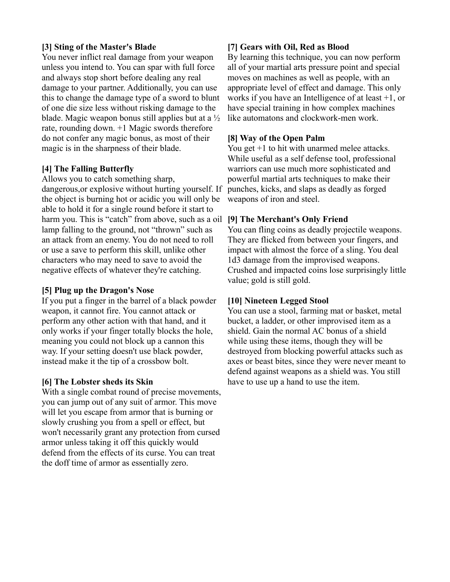## **[3] Sting of the Master's Blade**

You never inflict real damage from your weapon unless you intend to. You can spar with full force and always stop short before dealing any real damage to your partner. Additionally, you can use this to change the damage type of a sword to blunt of one die size less without risking damage to the blade. Magic weapon bonus still applies but at a ½ rate, rounding down. +1 Magic swords therefore do not confer any magic bonus, as most of their magic is in the sharpness of their blade.

## **[4] The Falling Butterfly**

Allows you to catch something sharp, dangerous,or explosive without hurting yourself. If the object is burning hot or acidic you will only be able to hold it for a single round before it start to harm you. This is "catch" from above, such as a oil **[9] The Merchant's Only Friend** lamp falling to the ground, not "thrown" such as an attack from an enemy. You do not need to roll or use a save to perform this skill, unlike other characters who may need to save to avoid the negative effects of whatever they're catching.

#### **[5] Plug up the Dragon's Nose**

If you put a finger in the barrel of a black powder weapon, it cannot fire. You cannot attack or perform any other action with that hand, and it only works if your finger totally blocks the hole, meaning you could not block up a cannon this way. If your setting doesn't use black powder, instead make it the tip of a crossbow bolt.

#### **[6] The Lobster sheds its Skin**

With a single combat round of precise movements, you can jump out of any suit of armor. This move will let you escape from armor that is burning or slowly crushing you from a spell or effect, but won't necessarily grant any protection from cursed armor unless taking it off this quickly would defend from the effects of its curse. You can treat the doff time of armor as essentially zero.

## **[7] Gears with Oil, Red as Blood**

By learning this technique, you can now perform all of your martial arts pressure point and special moves on machines as well as people, with an appropriate level of effect and damage. This only works if you have an Intelligence of at least +1, or have special training in how complex machines like automatons and clockwork-men work.

## **[8] Way of the Open Palm**

You get  $+1$  to hit with unarmed melee attacks. While useful as a self defense tool, professional warriors can use much more sophisticated and powerful martial arts techniques to make their punches, kicks, and slaps as deadly as forged weapons of iron and steel.

You can fling coins as deadly projectile weapons. They are flicked from between your fingers, and impact with almost the force of a sling. You deal 1d3 damage from the improvised weapons. Crushed and impacted coins lose surprisingly little value; gold is still gold.

## **[10] Nineteen Legged Stool**

You can use a stool, farming mat or basket, metal bucket, a ladder, or other improvised item as a shield. Gain the normal AC bonus of a shield while using these items, though they will be destroyed from blocking powerful attacks such as axes or beast bites, since they were never meant to defend against weapons as a shield was. You still have to use up a hand to use the item.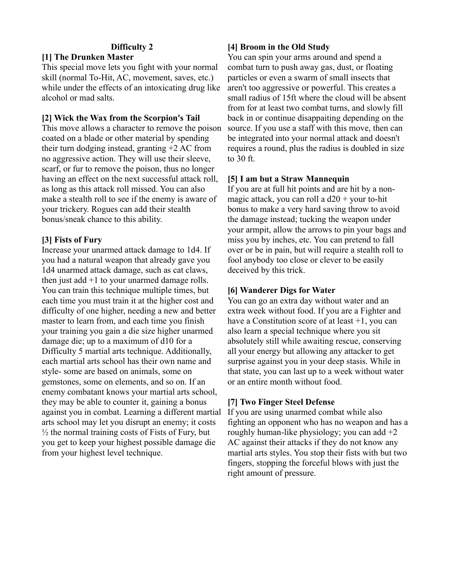#### **Difficulty 2**

## **[1] The Drunken Master**

This special move lets you fight with your normal skill (normal To-Hit, AC, movement, saves, etc.) while under the effects of an intoxicating drug like alcohol or mad salts.

#### **[2] Wick the Wax from the Scorpion's Tail**

This move allows a character to remove the poison coated on a blade or other material by spending their turn dodging instead, granting +2 AC from no aggressive action. They will use their sleeve, scarf, or fur to remove the poison, thus no longer having an effect on the next successful attack roll, as long as this attack roll missed. You can also make a stealth roll to see if the enemy is aware of your trickery. Rogues can add their stealth bonus/sneak chance to this ability.

#### **[3] Fists of Fury**

Increase your unarmed attack damage to 1d4. If you had a natural weapon that already gave you 1d4 unarmed attack damage, such as cat claws, then just add  $+1$  to your unarmed damage rolls. You can train this technique multiple times, but each time you must train it at the higher cost and difficulty of one higher, needing a new and better master to learn from, and each time you finish your training you gain a die size higher unarmed damage die; up to a maximum of d10 for a Difficulty 5 martial arts technique. Additionally, each martial arts school has their own name and style- some are based on animals, some on gemstones, some on elements, and so on. If an enemy combatant knows your martial arts school, they may be able to counter it, gaining a bonus against you in combat. Learning a different martial arts school may let you disrupt an enemy; it costs  $\frac{1}{2}$  the normal training costs of Fists of Fury, but you get to keep your highest possible damage die from your highest level technique.

## **[4] Broom in the Old Study**

You can spin your arms around and spend a combat turn to push away gas, dust, or floating particles or even a swarm of small insects that aren't too aggressive or powerful. This creates a small radius of 15ft where the cloud will be absent from for at least two combat turns, and slowly fill back in or continue disappaiting depending on the source. If you use a staff with this move, then can be integrated into your normal attack and doesn't requires a round, plus the radius is doubled in size to 30 ft.

#### **[5] I am but a Straw Mannequin**

If you are at full hit points and are hit by a nonmagic attack, you can roll a  $d20 +$  your to-hit bonus to make a very hard saving throw to avoid the damage instead; tucking the weapon under your armpit, allow the arrows to pin your bags and miss you by inches, etc. You can pretend to fall over or be in pain, but will require a stealth roll to fool anybody too close or clever to be easily deceived by this trick.

#### **[6] Wanderer Digs for Water**

You can go an extra day without water and an extra week without food. If you are a Fighter and have a Constitution score of at least  $+1$ , you can also learn a special technique where you sit absolutely still while awaiting rescue, conserving all your energy but allowing any attacker to get surprise against you in your deep stasis. While in that state, you can last up to a week without water or an entire month without food.

#### **[7] Two Finger Steel Defense**

If you are using unarmed combat while also fighting an opponent who has no weapon and has a roughly human-like physiology; you can add +2 AC against their attacks if they do not know any martial arts styles. You stop their fists with but two fingers, stopping the forceful blows with just the right amount of pressure.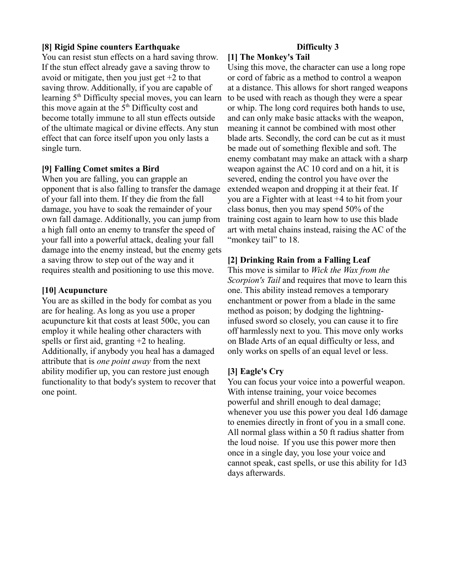#### **[8] Rigid Spine counters Earthquake**

You can resist stun effects on a hard saving throw. If the stun effect already gave a saving throw to avoid or mitigate, then you just get  $+2$  to that saving throw. Additionally, if you are capable of learning 5<sup>th</sup> Difficulty special moves, you can learn this move again at the  $5<sup>th</sup>$  Difficulty cost and become totally immune to all stun effects outside of the ultimate magical or divine effects. Any stun effect that can force itself upon you only lasts a single turn.

#### **[9] Falling Comet smites a Bird**

When you are falling, you can grapple an opponent that is also falling to transfer the damage of your fall into them. If they die from the fall damage, you have to soak the remainder of your own fall damage. Additionally, you can jump from a high fall onto an enemy to transfer the speed of your fall into a powerful attack, dealing your fall damage into the enemy instead, but the enemy gets a saving throw to step out of the way and it requires stealth and positioning to use this move.

#### **[10] Acupuncture**

You are as skilled in the body for combat as you are for healing. As long as you use a proper acupuncture kit that costs at least 500c, you can employ it while healing other characters with spells or first aid, granting +2 to healing. Additionally, if anybody you heal has a damaged attribute that is *one point away* from the next ability modifier up, you can restore just enough functionality to that body's system to recover that one point.

# **Difficulty 3**

## **[1] The Monkey's Tail**

Using this move, the character can use a long rope or cord of fabric as a method to control a weapon at a distance. This allows for short ranged weapons to be used with reach as though they were a spear or whip. The long cord requires both hands to use, and can only make basic attacks with the weapon, meaning it cannot be combined with most other blade arts. Secondly, the cord can be cut as it must be made out of something flexible and soft. The enemy combatant may make an attack with a sharp weapon against the AC 10 cord and on a hit, it is severed, ending the control you have over the extended weapon and dropping it at their feat. If you are a Fighter with at least +4 to hit from your class bonus, then you may spend 50% of the training cost again to learn how to use this blade art with metal chains instead, raising the AC of the "monkey tail" to 18.

#### **[2] Drinking Rain from a Falling Leaf**

This move is similar to *Wick the Wax from the Scorpion's Tail* and requires that move to learn this one. This ability instead removes a temporary enchantment or power from a blade in the same method as poison; by dodging the lightninginfused sword so closely, you can cause it to fire off harmlessly next to you. This move only works on Blade Arts of an equal difficulty or less, and only works on spells of an equal level or less.

#### **[3] Eagle's Cry**

You can focus your voice into a powerful weapon. With intense training, your voice becomes powerful and shrill enough to deal damage; whenever you use this power you deal 1d6 damage to enemies directly in front of you in a small cone. All normal glass within a 50 ft radius shatter from the loud noise. If you use this power more then once in a single day, you lose your voice and cannot speak, cast spells, or use this ability for 1d3 days afterwards.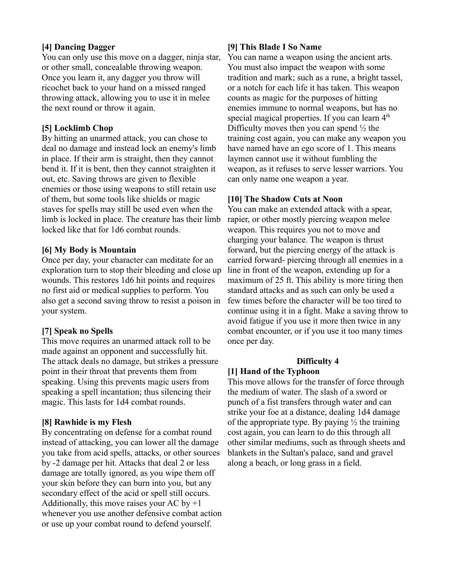## **[4] Dancing Dagger**

You can only use this move on a dagger, ninja star, or other small, concealable throwing weapon. Once you learn it, any dagger you throw will ricochet back to your hand on a missed ranged throwing attack, allowing you to use it in melee the next round or throw it again.

## **[5] Locklimb Chop**

By hitting an unarmed attack, you can chose to deal no damage and instead lock an enemy's limb in place. If their arm is straight, then they cannot bend it. If it is bent, then they cannot straighten it out, etc. Saving throws are given to flexible enemies or those using weapons to still retain use of them, but some tools like shields or magic staves for spells may still be used even when the limb is locked in place. The creature has their limb locked like that for 1d6 combat rounds.

## **[6] My Body is Mountain**

Once per day, your character can meditate for an exploration turn to stop their bleeding and close up wounds. This restores 1d6 hit points and requires no first aid or medical supplies to perform. You also get a second saving throw to resist a poison in your system.

## **[7] Speak no Spells**

This move requires an unarmed attack roll to be made against an opponent and successfully hit. The attack deals no damage, but strikes a pressure point in their throat that prevents them from speaking. Using this prevents magic users from speaking a spell incantation; thus silencing their magic. This lasts for 1d4 combat rounds.

#### **[8] Rawhide is my Flesh**

By concentrating on defense for a combat round instead of attacking, you can lower all the damage you take from acid spells, attacks, or other sources by -2 damage per hit. Attacks that deal 2 or less damage are totally ignored, as you wipe them off your skin before they can burn into you, but any secondary effect of the acid or spell still occurs. Additionally, this move raises your AC by  $+1$ whenever you use another defensive combat action or use up your combat round to defend yourself.

## **[9] This Blade I So Name**

You can name a weapon using the ancient arts. You must also impact the weapon with some tradition and mark; such as a rune, a bright tassel, or a notch for each life it has taken. This weapon counts as magic for the purposes of hitting enemies immune to normal weapons, but has no special magical properties. If you can learn  $4<sup>th</sup>$ Difficulty moves then you can spend  $\frac{1}{2}$  the training cost again, you can make any weapon you have named have an ego score of 1. This means laymen cannot use it without fumbling the weapon, as it refuses to serve lesser warriors. You can only name one weapon a year.

## **[10] The Shadow Cuts at Noon**

You can make an extended attack with a spear, rapier, or other mostly piercing weapon melee weapon. This requires you not to move and charging your balance. The weapon is thrust forward, but the piercing energy of the attack is carried forward- piercing through all enemies in a line in front of the weapon, extending up for a maximum of 25 ft. This ability is more tiring then standard attacks and as such can only be used a few times before the character will be too tired to continue using it in a fight. Make a saving throw to avoid fatigue if you use it more then twice in any combat encounter, or if you use it too many times once per day.

# **Difficulty 4**

#### **[1] Hand of the Typhoon**

This move allows for the transfer of force through the medium of water. The slash of a sword or punch of a fist transfers through water and can strike your foe at a distance, dealing 1d4 damage of the appropriate type. By paying  $\frac{1}{2}$  the training cost again, you can learn to do this through all other similar mediums, such as through sheets and blankets in the Sultan's palace, sand and gravel along a beach, or long grass in a field.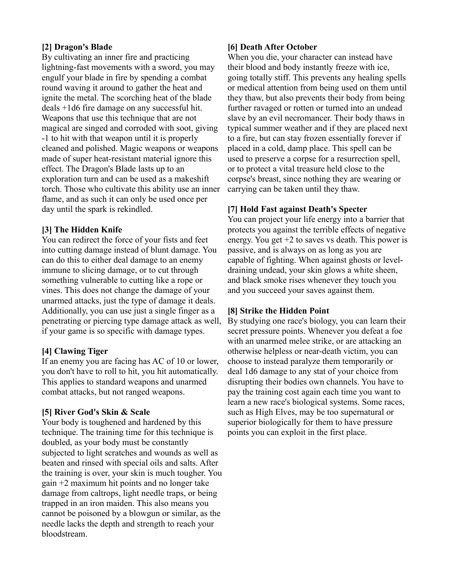## **[2] Dragon's Blade**

By cultivating an inner fire and practicing lightning-fast movements with a sword, you may engulf your blade in fire by spending a combat round waving it around to gather the heat and ignite the metal. The scorching heat of the blade deals +1d6 fire damage on any successful hit. Weapons that use this technique that are not magical are singed and corroded with soot, giving -1 to hit with that weapon until it is properly cleaned and polished. Magic weapons or weapons made of super heat-resistant material ignore this effect. The Dragon's Blade lasts up to an exploration turn and can be used as a makeshift torch. Those who cultivate this ability use an inner flame, and as such it can only be used once per day until the spark is rekindled.

## **[3] The Hidden Knife**

You can redirect the force of your fists and feet into cutting damage instead of blunt damage. You can do this to either deal damage to an enemy immune to slicing damage, or to cut through something vulnerable to cutting like a rope or vines. This does not change the damage of your unarmed attacks, just the type of damage it deals. Additionally, you can use just a single finger as a penetrating or piercing type damage attack as well, if your game is so specific with damage types.

#### **[4] Clawing Tiger**

If an enemy you are facing has AC of 10 or lower, you don't have to roll to hit, you hit automatically. This applies to standard weapons and unarmed combat attacks, but not ranged weapons.

## **[5] River God's Skin & Scale**

Your body is toughened and hardened by this technique. The training time for this technique is doubled, as your body must be constantly subjected to light scratches and wounds as well as beaten and rinsed with special oils and salts. After the training is over, your skin is much tougher. You gain +2 maximum hit points and no longer take damage from caltrops, light needle traps, or being trapped in an iron maiden. This also means you cannot be poisoned by a blowgun or similar, as the needle lacks the depth and strength to reach your bloodstream.

## **[6] Death After October**

When you die, your character can instead have their blood and body instantly freeze with ice, going totally stiff. This prevents any healing spells or medical attention from being used on them until they thaw, but also prevents their body from being further ravaged or rotten or turned into an undead slave by an evil necromancer. Their body thaws in typical summer weather and if they are placed next to a fire, but can stay frozen essentially forever if placed in a cold, damp place. This spell can be used to preserve a corpse for a resurrection spell, or to protect a vital treasure held close to the corpse's breast, since nothing they are wearing or carrying can be taken until they thaw.

## **[7] Hold Fast against Death's Specter**

You can project your life energy into a barrier that protects you against the terrible effects of negative energy. You get  $+2$  to saves vs death. This power is passive, and is always on as long as you are capable of fighting. When against ghosts or leveldraining undead, your skin glows a white sheen, and black smoke rises whenever they touch you and you succeed your saves against them.

## **[8] Strike the Hidden Point**

By studying one race's biology, you can learn their secret pressure points. Whenever you defeat a foe with an unarmed melee strike, or are attacking an otherwise helpless or near-death victim, you can choose to instead paralyze them temporarily or deal 1d6 damage to any stat of your choice from disrupting their bodies own channels. You have to pay the training cost again each time you want to learn a new race's biological systems. Some races, such as High Elves, may be too supernatural or superior biologically for them to have pressure points you can exploit in the first place.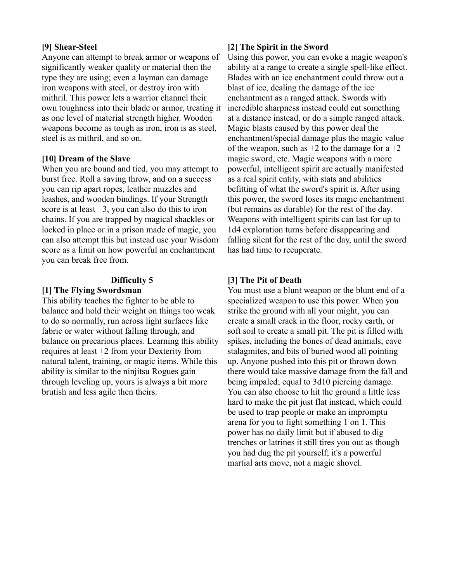#### **[9] Shear-Steel**

Anyone can attempt to break armor or weapons of significantly weaker quality or material then the type they are using; even a layman can damage iron weapons with steel, or destroy iron with mithril. This power lets a warrior channel their own toughness into their blade or armor, treating it as one level of material strength higher. Wooden weapons become as tough as iron, iron is as steel, steel is as mithril, and so on.

#### **[10] Dream of the Slave**

When you are bound and tied, you may attempt to burst free. Roll a saving throw, and on a success you can rip apart ropes, leather muzzles and leashes, and wooden bindings. If your Strength score is at least  $+3$ , you can also do this to iron chains. If you are trapped by magical shackles or locked in place or in a prison made of magic, you can also attempt this but instead use your Wisdom score as a limit on how powerful an enchantment you can break free from.

#### **Difficulty 5**

## **[1] The Flying Swordsman**

This ability teaches the fighter to be able to balance and hold their weight on things too weak to do so normally, run across light surfaces like fabric or water without falling through, and balance on precarious places. Learning this ability requires at least +2 from your Dexterity from natural talent, training, or magic items. While this ability is similar to the ninjitsu Rogues gain through leveling up, yours is always a bit more brutish and less agile then theirs.

#### **[2] The Spirit in the Sword**

Using this power, you can evoke a magic weapon's ability at a range to create a single spell-like effect. Blades with an ice enchantment could throw out a blast of ice, dealing the damage of the ice enchantment as a ranged attack. Swords with incredible sharpness instead could cut something at a distance instead, or do a simple ranged attack. Magic blasts caused by this power deal the enchantment/special damage plus the magic value of the weapon, such as  $+2$  to the damage for a  $+2$ magic sword, etc. Magic weapons with a more powerful, intelligent spirit are actually manifested as a real spirit entity, with stats and abilities befitting of what the sword's spirit is. After using this power, the sword loses its magic enchantment (but remains as durable) for the rest of the day. Weapons with intelligent spirits can last for up to 1d4 exploration turns before disappearing and falling silent for the rest of the day, until the sword has had time to recuperate.

#### **[3] The Pit of Death**

You must use a blunt weapon or the blunt end of a specialized weapon to use this power. When you strike the ground with all your might, you can create a small crack in the floor, rocky earth, or soft soil to create a small pit. The pit is filled with spikes, including the bones of dead animals, cave stalagmites, and bits of buried wood all pointing up. Anyone pushed into this pit or thrown down there would take massive damage from the fall and being impaled; equal to 3d10 piercing damage. You can also choose to hit the ground a little less hard to make the pit just flat instead, which could be used to trap people or make an impromptu arena for you to fight something 1 on 1. This power has no daily limit but if abused to dig trenches or latrines it still tires you out as though you had dug the pit yourself; it's a powerful martial arts move, not a magic shovel.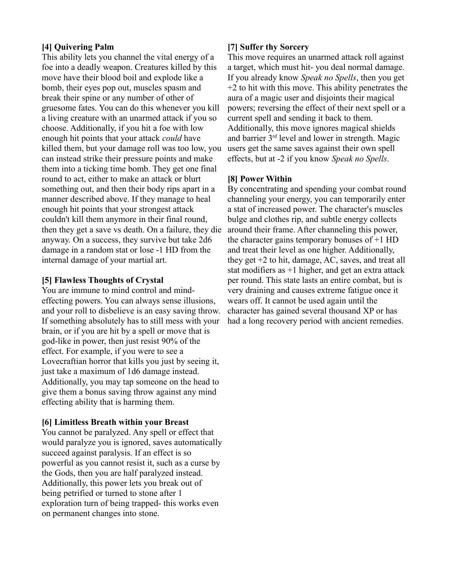## **[4] Quivering Palm**

This ability lets you channel the vital energy of a foe into a deadly weapon. Creatures killed by this move have their blood boil and explode like a bomb, their eyes pop out, muscles spasm and break their spine or any number of other of gruesome fates. You can do this whenever you kill a living creature with an unarmed attack if you so choose. Additionally, if you hit a foe with low enough hit points that your attack *could* have killed them, but your damage roll was too low, you can instead strike their pressure points and make them into a ticking time bomb. They get one final round to act, either to make an attack or blurt something out, and then their body rips apart in a manner described above. If they manage to heal enough hit points that your strongest attack couldn't kill them anymore in their final round, then they get a save vs death. On a failure, they die anyway. On a success, they survive but take 2d6 damage in a random stat or lose -1 HD from the internal damage of your martial art.

#### **[5] Flawless Thoughts of Crystal**

You are immune to mind control and mindeffecting powers. You can always sense illusions, and your roll to disbelieve is an easy saving throw. If something absolutely has to still mess with your brain, or if you are hit by a spell or move that is god-like in power, then just resist 90% of the effect. For example, if you were to see a Lovecraftian horror that kills you just by seeing it, just take a maximum of 1d6 damage instead. Additionally, you may tap someone on the head to give them a bonus saving throw against any mind effecting ability that is harming them.

## **[6] Limitless Breath within your Breast**

You cannot be paralyzed. Any spell or effect that would paralyze you is ignored, saves automatically succeed against paralysis. If an effect is so powerful as you cannot resist it, such as a curse by the Gods, then you are half paralyzed instead. Additionally, this power lets you break out of being petrified or turned to stone after 1 exploration turn of being trapped- this works even on permanent changes into stone.

## **[7] Suffer thy Sorcery**

This move requires an unarmed attack roll against a target, which must hit- you deal normal damage. If you already know *Speak no Spells*, then you get +2 to hit with this move. This ability penetrates the aura of a magic user and disjoints their magical powers; reversing the effect of their next spell or a current spell and sending it back to them. Additionally, this move ignores magical shields and barrier 3rd level and lower in strength. Magic users get the same saves against their own spell effects, but at -2 if you know *Speak no Spells*.

## **[8] Power Within**

By concentrating and spending your combat round channeling your energy, you can temporarily enter a stat of increased power. The character's muscles bulge and clothes rip, and subtle energy collects around their frame. After channeling this power, the character gains temporary bonuses of  $+1$  HD and treat their level as one higher. Additionally, they get +2 to hit, damage, AC, saves, and treat all stat modifiers as  $+1$  higher, and get an extra attack per round. This state lasts an entire combat, but is very draining and causes extreme fatigue once it wears off. It cannot be used again until the character has gained several thousand XP or has had a long recovery period with ancient remedies.